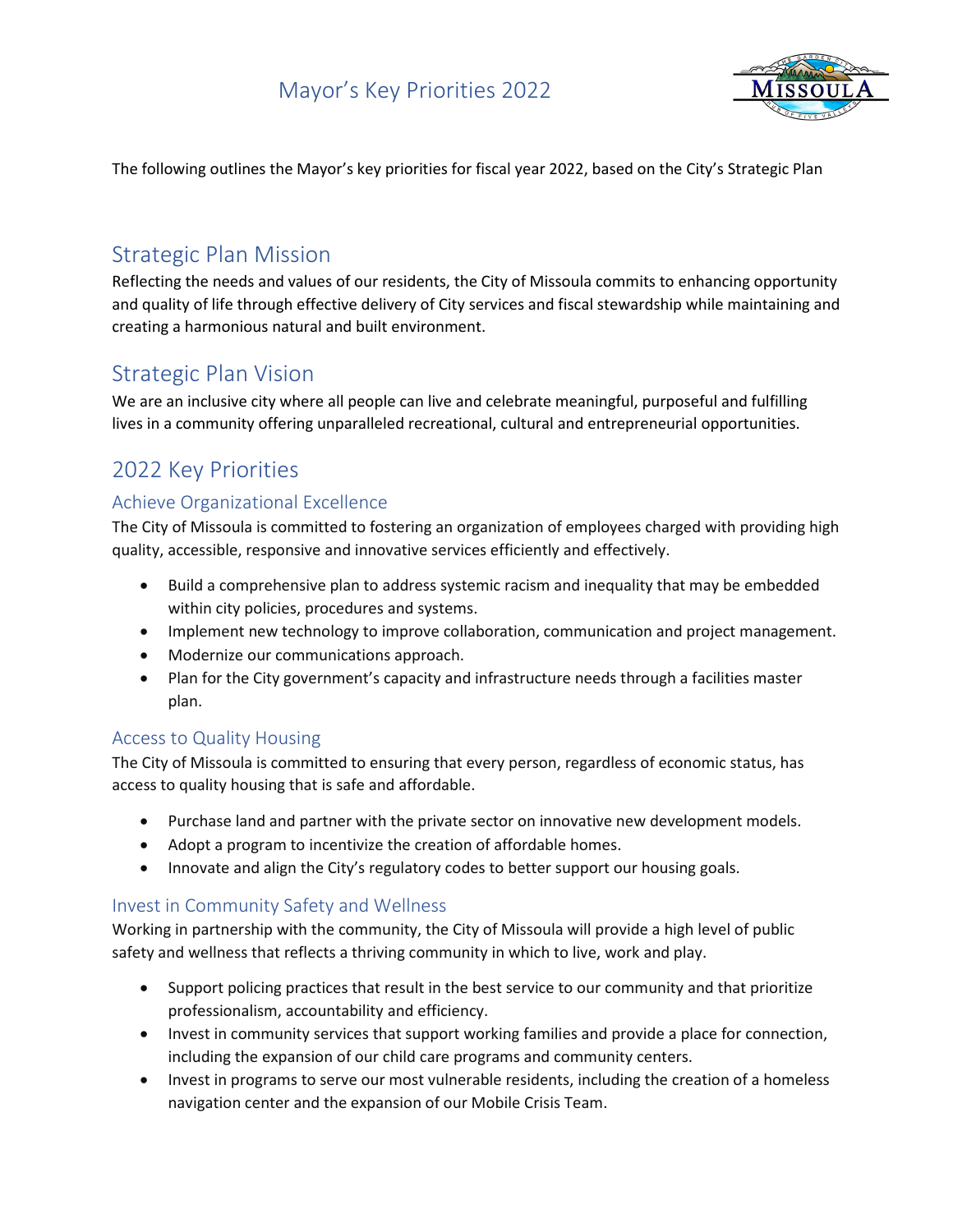

The following outlines the Mayor's key priorities for fiscal year 2022, based on the City's Strategic Plan

### Strategic Plan Mission

Reflecting the needs and values of our residents, the City of Missoula commits to enhancing opportunity and quality of life through effective delivery of City services and fiscal stewardship while maintaining and creating a harmonious natural and built environment.

### Strategic Plan Vision

We are an inclusive city where all people can live and celebrate meaningful, purposeful and fulfilling lives in a community offering unparalleled recreational, cultural and entrepreneurial opportunities.

## 2022 Key Priorities

### Achieve Organizational Excellence

The City of Missoula is committed to fostering an organization of employees charged with providing high quality, accessible, responsive and innovative services efficiently and effectively.

- Build a comprehensive plan to address systemic racism and inequality that may be embedded within city policies, procedures and systems.
- Implement new technology to improve collaboration, communication and project management.
- Modernize our communications approach.
- Plan for the City government's capacity and infrastructure needs through a facilities master plan.

#### Access to Quality Housing

The City of Missoula is committed to ensuring that every person, regardless of economic status, has access to quality housing that is safe and affordable.

- Purchase land and partner with the private sector on innovative new development models.
- Adopt a program to incentivize the creation of affordable homes.
- Innovate and align the City's regulatory codes to better support our housing goals.

#### Invest in Community Safety and Wellness

Working in partnership with the community, the City of Missoula will provide a high level of public safety and wellness that reflects a thriving community in which to live, work and play.

- Support policing practices that result in the best service to our community and that prioritize professionalism, accountability and efficiency.
- Invest in community services that support working families and provide a place for connection, including the expansion of our child care programs and community centers.
- Invest in programs to serve our most vulnerable residents, including the creation of a homeless navigation center and the expansion of our Mobile Crisis Team.